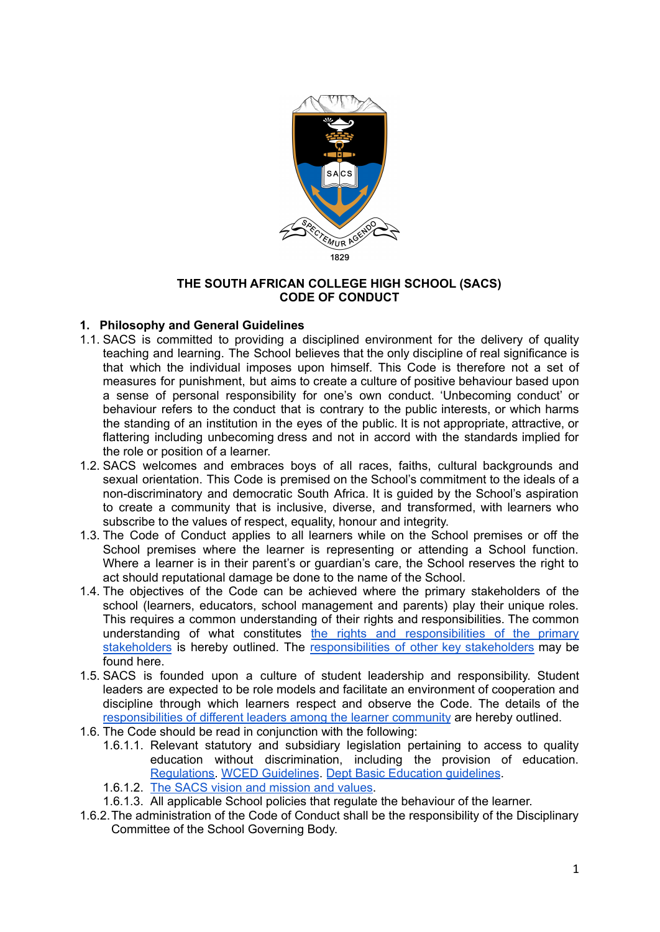

### **THE SOUTH AFRICAN COLLEGE HIGH SCHOOL (SACS) CODE OF CONDUCT**

## **1. Philosophy and General Guidelines**

- 1.1. SACS is committed to providing a disciplined environment for the delivery of quality teaching and learning. The School believes that the only discipline of real significance is that which the individual imposes upon himself. This Code is therefore not a set of measures for punishment, but aims to create a culture of positive behaviour based upon a sense of personal responsibility for one's own conduct. 'Unbecoming conduct' or behaviour refers to the conduct that is contrary to the public interests, or which harms the standing of an institution in the eyes of the public. It is not appropriate, attractive, or flattering including unbecoming dress and not in accord with the standards implied for the role or position of a learner.
- 1.2. SACS welcomes and embraces boys of all races, faiths, cultural backgrounds and sexual orientation. This Code is premised on the School's commitment to the ideals of a non-discriminatory and democratic South Africa. It is guided by the School's aspiration to create a community that is inclusive, diverse, and transformed, with learners who subscribe to the values of respect, equality, honour and integrity.
- 1.3. The Code of Conduct applies to all learners while on the School premises or off the School premises where the learner is representing or attending a School function. Where a learner is in their parent's or guardian's care, the School reserves the right to act should reputational damage be done to the name of the School.
- 1.4. The objectives of the Code can be achieved where the primary stakeholders of the school (learners, educators, school management and parents) play their unique roles. This requires a common understanding of their rights and responsibilities. The common understanding of what constitutes the rights and [responsibilities](https://sacshigh.org.za/wp-content/uploads/2021/06/Rights-and-Responsibilities-of-Primary-Stakeholders-1.pdf) of the primary [stakeholders](https://sacshigh.org.za/wp-content/uploads/2021/06/Rights-and-Responsibilities-of-Primary-Stakeholders-1.pdf) is hereby outlined. The [responsibilities](https://sacshigh.org.za/wp-content/uploads/2021/06/Roles-and-Responsibilities-of-other-Key-Stakeholders.pdf) of other key stakeholders may be found here.
- 1.5. SACS is founded upon a culture of student leadership and responsibility. Student leaders are expected to be role models and facilitate an environment of cooperation and discipline through which learners respect and observe the Code. The details of the [responsibilities](https://sacshigh.org.za/wp-content/uploads/2021/06/Responsibilities-of-Leaders-in-the-Learner-Community.pdf) of different leaders among the learner community are hereby outlined.
- 1.6. The Code should be read in conjunction with the following:
	- 1.6.1.1. Relevant statutory and subsidiary legislation pertaining to access to quality education without discrimination, including the provision of education. [Regulations.](https://sacshigh.org.za/wp-content/uploads/2021/06/0018-2012-Annexure-E-Regulations-on-Disciplining-and-Suspension.pdf) WCED [Guidelines](https://sacshigh.org.za/wp-content/uploads/2021/06/WCED_Learner_Discipline_and_School_Management.pdf). Dept Basic Education [guidelines](https://sacshigh.org.za/wp-content/uploads/2021/06/DeptEducation_CodeConduct_DisciplinaryProcedures_Learners_2008.pdf).
	- 1.6.1.2. The SACS vision and [mission](https://sacshigh.org.za/wp-content/uploads/2021/06/SACS-VISION-MISSION-AND-VALUES.pdf) and values.
	- 1.6.1.3. All applicable School policies that regulate the behaviour of the learner.
- 1.6.2.The administration of the Code of Conduct shall be the responsibility of the Disciplinary Committee of the School Governing Body.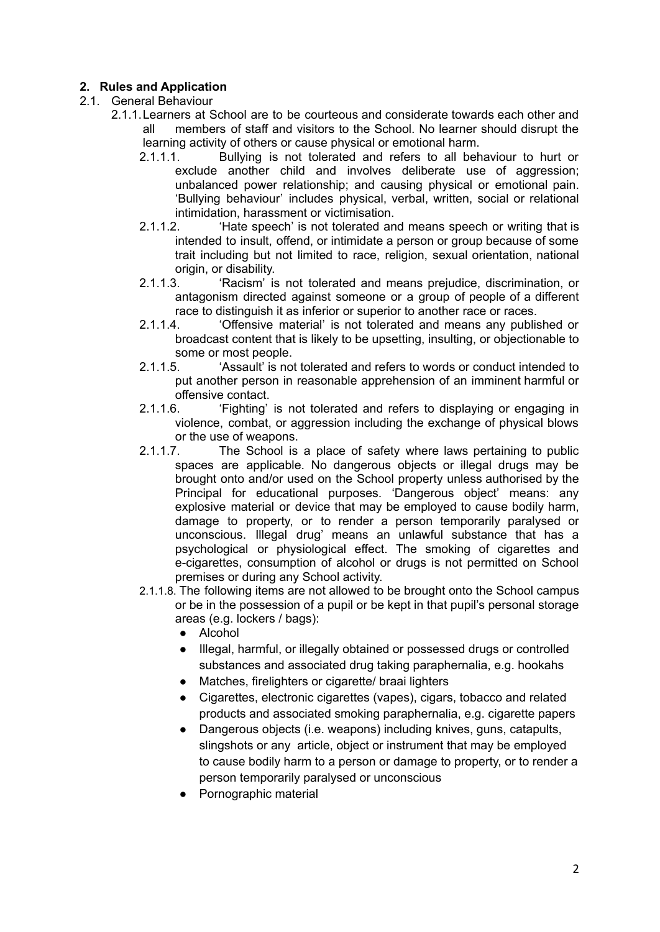# **2. Rules and Application**

## 2.1. General Behaviour

- 2.1.1.Learners at School are to be courteous and considerate towards each other and all members of staff and visitors to the School. No learner should disrupt the learning activity of others or cause physical or emotional harm.
	- 2.1.1.1. Bullying is not tolerated and refers to all behaviour to hurt or exclude another child and involves deliberate use of aggression; unbalanced power relationship; and causing physical or emotional pain. 'Bullying behaviour' includes physical, verbal, written, social or relational intimidation, harassment or victimisation.<br>
	2 1 1 2 'Hate speech' is not tolerated an
	- 'Hate speech' is not tolerated and means speech or writing that is intended to insult, offend, or intimidate a person or group because of some trait including but not limited to race, religion, sexual orientation, national origin, or disability.
	- 2.1.1.3. 'Racism' is not tolerated and means prejudice, discrimination, or antagonism directed against someone or a group of people of a different race to distinguish it as inferior or superior to another race or races.
	- 2.1.1.4. 'Offensive material' is not tolerated and means any published or broadcast content that is likely to be upsetting, insulting, or objectionable to some or most people.
	- 2.1.1.5. 'Assault' is not tolerated and refers to words or conduct intended to put another person in reasonable apprehension of an imminent harmful or offensive contact.
	- 2.1.1.6. 'Fighting' is not tolerated and refers to displaying or engaging in violence, combat, or aggression including the exchange of physical blows or the use of weapons.
	- 2.1.1.7. The School is a place of safety where laws pertaining to public spaces are applicable. No dangerous objects or illegal drugs may be brought onto and/or used on the School property unless authorised by the Principal for educational purposes. 'Dangerous object' means: any explosive material or device that may be employed to cause bodily harm, damage to property, or to render a person temporarily paralysed or unconscious. Illegal drug' means an unlawful substance that has a psychological or physiological effect. The smoking of cigarettes and e-cigarettes, consumption of alcohol or drugs is not permitted on School premises or during any School activity.
	- 2.1.1.8. The following items are not allowed to be brought onto the School campus or be in the possession of a pupil or be kept in that pupil's personal storage areas (e.g. lockers / bags):
		- Alcohol
		- Illegal, harmful, or illegally obtained or possessed drugs or controlled substances and associated drug taking paraphernalia, e.g. hookahs
		- Matches, firelighters or cigarette/ braai lighters
		- Cigarettes, electronic cigarettes (vapes), cigars, tobacco and related products and associated smoking paraphernalia, e.g. cigarette papers
		- Dangerous objects (i.e. weapons) including knives, guns, catapults, slingshots or any article, object or instrument that may be employed to cause bodily harm to a person or damage to property, or to render a person temporarily paralysed or unconscious
		- Pornographic material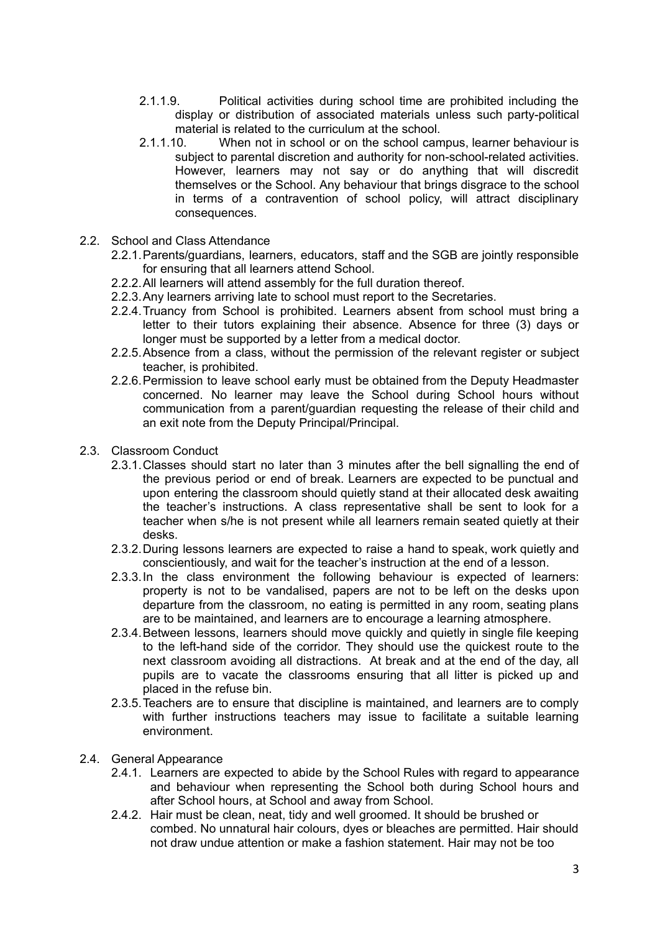- 2.1.1.9. Political activities during school time are prohibited including the display or distribution of associated materials unless such party-political material is related to the curriculum at the school.
- 2.1.1.10. When not in school or on the school campus, learner behaviour is subject to parental discretion and authority for non-school-related activities. However, learners may not say or do anything that will discredit themselves or the School. Any behaviour that brings disgrace to the school in terms of a contravention of school policy, will attract disciplinary consequences.
- 2.2. School and Class Attendance
	- 2.2.1.Parents/guardians, learners, educators, staff and the SGB are jointly responsible for ensuring that all learners attend School.
	- 2.2.2.All learners will attend assembly for the full duration thereof.
	- 2.2.3.Any learners arriving late to school must report to the Secretaries.
	- 2.2.4.Truancy from School is prohibited. Learners absent from school must bring a letter to their tutors explaining their absence. Absence for three (3) days or longer must be supported by a letter from a medical doctor.
	- 2.2.5.Absence from a class, without the permission of the relevant register or subject teacher, is prohibited.
	- 2.2.6.Permission to leave school early must be obtained from the Deputy Headmaster concerned. No learner may leave the School during School hours without communication from a parent/guardian requesting the release of their child and an exit note from the Deputy Principal/Principal.
- 2.3. Classroom Conduct
	- 2.3.1.Classes should start no later than 3 minutes after the bell signalling the end of the previous period or end of break. Learners are expected to be punctual and upon entering the classroom should quietly stand at their allocated desk awaiting the teacher's instructions. A class representative shall be sent to look for a teacher when s/he is not present while all learners remain seated quietly at their desks.
	- 2.3.2.During lessons learners are expected to raise a hand to speak, work quietly and conscientiously, and wait for the teacher's instruction at the end of a lesson.
	- 2.3.3.In the class environment the following behaviour is expected of learners: property is not to be vandalised, papers are not to be left on the desks upon departure from the classroom, no eating is permitted in any room, seating plans are to be maintained, and learners are to encourage a learning atmosphere.
	- 2.3.4.Between lessons, learners should move quickly and quietly in single file keeping to the left-hand side of the corridor. They should use the quickest route to the next classroom avoiding all distractions. At break and at the end of the day, all pupils are to vacate the classrooms ensuring that all litter is picked up and placed in the refuse bin.
	- 2.3.5.Teachers are to ensure that discipline is maintained, and learners are to comply with further instructions teachers may issue to facilitate a suitable learning environment.
- 2.4. General Appearance
	- 2.4.1. Learners are expected to abide by the School Rules with regard to appearance and behaviour when representing the School both during School hours and after School hours, at School and away from School.
	- 2.4.2. Hair must be clean, neat, tidy and well groomed. It should be brushed or combed. No unnatural hair colours, dyes or bleaches are permitted. Hair should not draw undue attention or make a fashion statement. Hair may not be too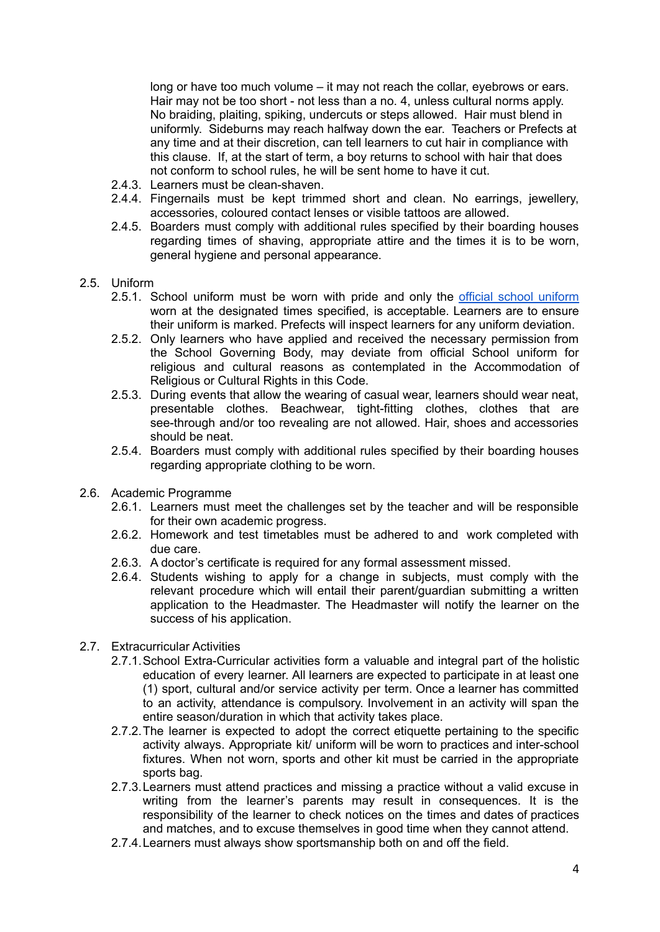long or have too much volume – it may not reach the collar, eyebrows or ears. Hair may not be too short - not less than a no. 4, unless cultural norms apply. No braiding, plaiting, spiking, undercuts or steps allowed. Hair must blend in uniformly. Sideburns may reach halfway down the ear. Teachers or Prefects at any time and at their discretion, can tell learners to cut hair in compliance with this clause. If, at the start of term, a boy returns to school with hair that does not conform to school rules, he will be sent home to have it cut.

- 2.4.3. Learners must be clean-shaven.
- 2.4.4. Fingernails must be kept trimmed short and clean. No earrings, jewellery, accessories, coloured contact lenses or visible tattoos are allowed.
- 2.4.5. Boarders must comply with additional rules specified by their boarding houses regarding times of shaving, appropriate attire and the times it is to be worn, general hygiene and personal appearance.

#### 2.5. Uniform

- 2.5.1. School [uniform](https://sacshigh.org.za/wp-content/uploads/2021/09/Uniform-Description.docx.pdf) must be worn with pride and only the official school uniform worn at the designated times specified, is acceptable. Learners are to ensure their uniform is marked. Prefects will inspect learners for any uniform deviation.
- 2.5.2. Only learners who have applied and received the necessary permission from the School Governing Body, may deviate from official School uniform for religious and cultural reasons as contemplated in the Accommodation of Religious or Cultural Rights in this Code.
- 2.5.3. During events that allow the wearing of casual wear, learners should wear neat, presentable clothes. Beachwear, tight-fitting clothes, clothes that are see-through and/or too revealing are not allowed. Hair, shoes and accessories should be neat.
- 2.5.4. Boarders must comply with additional rules specified by their boarding houses regarding appropriate clothing to be worn.
- 2.6. Academic Programme
	- 2.6.1. Learners must meet the challenges set by the teacher and will be responsible for their own academic progress.
	- 2.6.2. Homework and test timetables must be adhered to and work completed with due care.
	- 2.6.3. A doctor's certificate is required for any formal assessment missed.
	- 2.6.4. Students wishing to apply for a change in subjects, must comply with the relevant procedure which will entail their parent/guardian submitting a written application to the Headmaster. The Headmaster will notify the learner on the success of his application.

### 2.7. Extracurricular Activities

- 2.7.1.School Extra-Curricular activities form a valuable and integral part of the holistic education of every learner. All learners are expected to participate in at least one (1) sport, cultural and/or service activity per term. Once a learner has committed to an activity, attendance is compulsory. Involvement in an activity will span the entire season/duration in which that activity takes place.
- 2.7.2.The learner is expected to adopt the correct etiquette pertaining to the specific activity always. Appropriate kit/ uniform will be worn to practices and inter-school fixtures. When not worn, sports and other kit must be carried in the appropriate sports bag.
- 2.7.3.Learners must attend practices and missing a practice without a valid excuse in writing from the learner's parents may result in consequences. It is the responsibility of the learner to check notices on the times and dates of practices and matches, and to excuse themselves in good time when they cannot attend.
- 2.7.4.Learners must always show sportsmanship both on and off the field.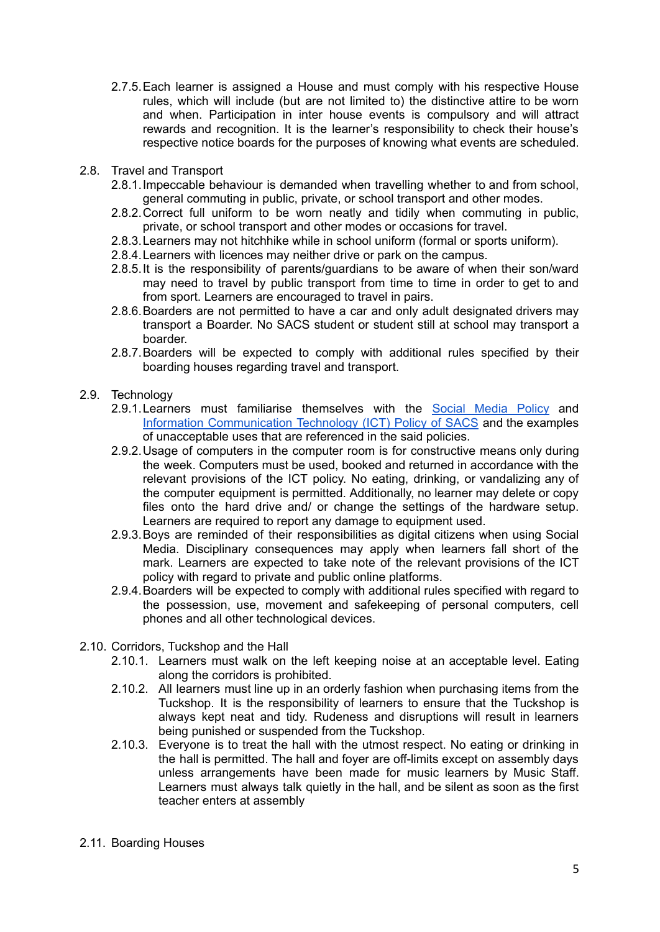- 2.7.5.Each learner is assigned a House and must comply with his respective House rules, which will include (but are not limited to) the distinctive attire to be worn and when. Participation in inter house events is compulsory and will attract rewards and recognition. It is the learner's responsibility to check their house's respective notice boards for the purposes of knowing what events are scheduled.
- 2.8. Travel and Transport
	- 2.8.1.Impeccable behaviour is demanded when travelling whether to and from school, general commuting in public, private, or school transport and other modes.
	- 2.8.2.Correct full uniform to be worn neatly and tidily when commuting in public, private, or school transport and other modes or occasions for travel.
	- 2.8.3.Learners may not hitchhike while in school uniform (formal or sports uniform).
	- 2.8.4.Learners with licences may neither drive or park on the campus.
	- 2.8.5.It is the responsibility of parents/guardians to be aware of when their son/ward may need to travel by public transport from time to time in order to get to and from sport. Learners are encouraged to travel in pairs.
	- 2.8.6.Boarders are not permitted to have a car and only adult designated drivers may transport a Boarder. No SACS student or student still at school may transport a boarder.
	- 2.8.7.Boarders will be expected to comply with additional rules specified by their boarding houses regarding travel and transport.

#### 2.9. Technology

- 2.9.1. Learners must familiarise themselves with the Social [Media](https://sacshigh.org.za/wp-content/uploads/2021/09/SACS-SOCIAL-MEDIA-POLICY.docx-1.pdf) Policy and Information [Communication](https://sacshigh.org.za/wp-content/uploads/2021/06/Acceptable-Use-Policy-ICT-SACS-Grades-8-12.pdf) Technology (ICT) Policy of SACS and the examples of unacceptable uses that are referenced in the said policies.
- 2.9.2.Usage of computers in the computer room is for constructive means only during the week. Computers must be used, booked and returned in accordance with the relevant provisions of the ICT policy. No eating, drinking, or vandalizing any of the computer equipment is permitted. Additionally, no learner may delete or copy files onto the hard drive and/ or change the settings of the hardware setup. Learners are required to report any damage to equipment used.
- 2.9.3.Boys are reminded of their responsibilities as digital citizens when using Social Media. Disciplinary consequences may apply when learners fall short of the mark. Learners are expected to take note of the relevant provisions of the ICT policy with regard to private and public online platforms.
- 2.9.4.Boarders will be expected to comply with additional rules specified with regard to the possession, use, movement and safekeeping of personal computers, cell phones and all other technological devices.
- 2.10. Corridors, Tuckshop and the Hall
	- 2.10.1. Learners must walk on the left keeping noise at an acceptable level. Eating along the corridors is prohibited.
	- 2.10.2. All learners must line up in an orderly fashion when purchasing items from the Tuckshop. It is the responsibility of learners to ensure that the Tuckshop is always kept neat and tidy. Rudeness and disruptions will result in learners being punished or suspended from the Tuckshop.
	- 2.10.3. Everyone is to treat the hall with the utmost respect. No eating or drinking in the hall is permitted. The hall and foyer are off-limits except on assembly days unless arrangements have been made for music learners by Music Staff. Learners must always talk quietly in the hall, and be silent as soon as the first teacher enters at assembly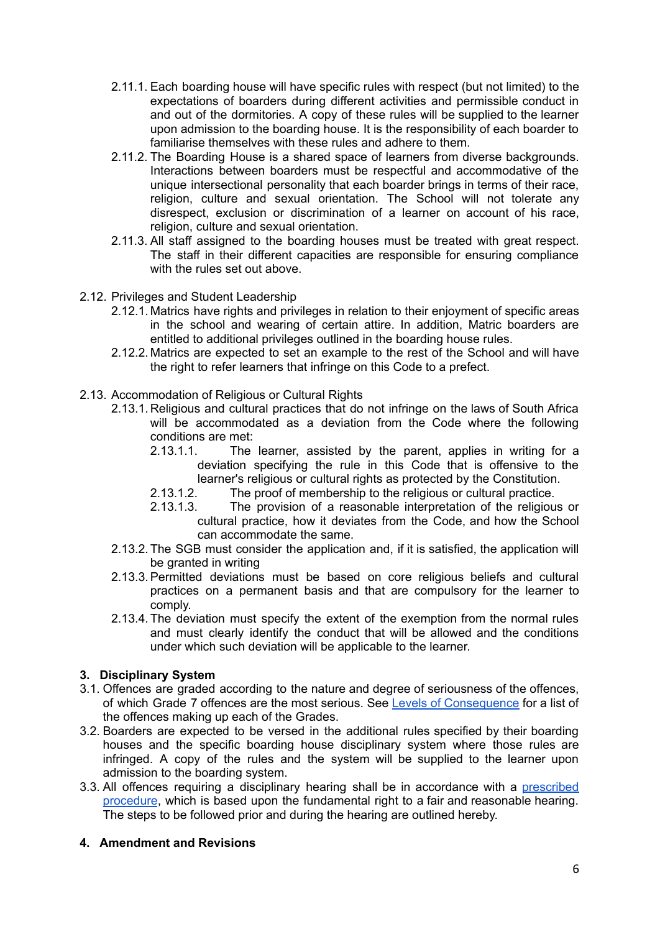- 2.11.1. Each boarding house will have specific rules with respect (but not limited) to the expectations of boarders during different activities and permissible conduct in and out of the dormitories. A copy of these rules will be supplied to the learner upon admission to the boarding house. It is the responsibility of each boarder to familiarise themselves with these rules and adhere to them.
- 2.11.2. The Boarding House is a shared space of learners from diverse backgrounds. Interactions between boarders must be respectful and accommodative of the unique intersectional personality that each boarder brings in terms of their race, religion, culture and sexual orientation. The School will not tolerate any disrespect, exclusion or discrimination of a learner on account of his race, religion, culture and sexual orientation.
- 2.11.3. All staff assigned to the boarding houses must be treated with great respect. The staff in their different capacities are responsible for ensuring compliance with the rules set out above.
- 2.12. Privileges and Student Leadership
	- 2.12.1. Matrics have rights and privileges in relation to their enjoyment of specific areas in the school and wearing of certain attire. In addition, Matric boarders are entitled to additional privileges outlined in the boarding house rules.
	- 2.12.2. Matrics are expected to set an example to the rest of the School and will have the right to refer learners that infringe on this Code to a prefect.
- 2.13. Accommodation of Religious or Cultural Rights
	- 2.13.1. Religious and cultural practices that do not infringe on the laws of South Africa will be accommodated as a deviation from the Code where the following conditions are met:
		- 2.13.1.1. The learner, assisted by the parent, applies in writing for a deviation specifying the rule in this Code that is offensive to the learner's religious or cultural rights as protected by the Constitution.
		- 2.13.1.2. The proof of membership to the religious or cultural practice.
		- 2.13.1.3. The provision of a reasonable interpretation of the religious or cultural practice, how it deviates from the Code, and how the School can accommodate the same.
	- 2.13.2.The SGB must consider the application and, if it is satisfied, the application will be granted in writing
	- 2.13.3.Permitted deviations must be based on core religious beliefs and cultural practices on a permanent basis and that are compulsory for the learner to comply.
	- 2.13.4.The deviation must specify the extent of the exemption from the normal rules and must clearly identify the conduct that will be allowed and the conditions under which such deviation will be applicable to the learner.

### **3. Disciplinary System**

- 3.1. Offences are graded according to the nature and degree of seriousness of the offences, of which Grade 7 offences are the most serious. See Levels of [Consequence](https://sacshigh.org.za/wp-content/uploads/2021/06/SACS-Level-of-Consequence-Discipline-Structure.pdf) for a list of the offences making up each of the Grades.
- 3.2. Boarders are expected to be versed in the additional rules specified by their boarding houses and the specific boarding house disciplinary system where those rules are infringed. A copy of the rules and the system will be supplied to the learner upon admission to the boarding system.
- 3.3. All offences requiring a disciplinary hearing shall be in accordance with a [prescribed](https://sacshigh.org.za/wp-content/uploads/2021/06/The-Disciplinary-Hearing-Procedure-Sanctions.pdf) [procedure](https://sacshigh.org.za/wp-content/uploads/2021/06/The-Disciplinary-Hearing-Procedure-Sanctions.pdf), which is based upon the fundamental right to a fair and reasonable hearing. The steps to be followed prior and during the hearing are outlined hereby.

## **4. Amendment and Revisions**